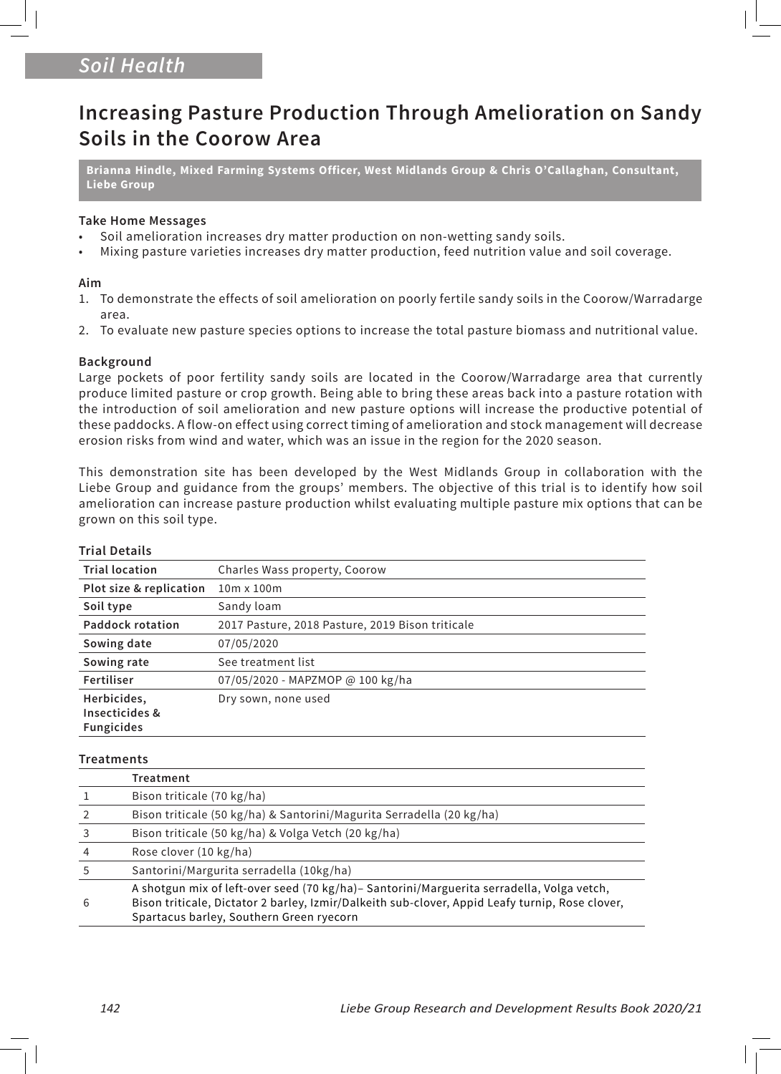# *Soil Health*

# **Increasing Pasture Production Through Amelioration on Sandy Soils in the Coorow Area**

**Brianna Hindle, Mixed Farming Systems Officer, West Midlands Group & Chris O'Callaghan, Consultant, Liebe Group**

## **Take Home Messages**

- Soil amelioration increases dry matter production on non-wetting sandy soils.
- Mixing pasture varieties increases dry matter production, feed nutrition value and soil coverage.

# **Aim**

- 1. To demonstrate the effects of soil amelioration on poorly fertile sandy soils in the Coorow/Warradarge area.
- 2. To evaluate new pasture species options to increase the total pasture biomass and nutritional value.

# **Background**

Large pockets of poor fertility sandy soils are located in the Coorow/Warradarge area that currently produce limited pasture or crop growth. Being able to bring these areas back into a pasture rotation with the introduction of soil amelioration and new pasture options will increase the productive potential of these paddocks. A flow-on effect using correct timing of amelioration and stock management will decrease erosion risks from wind and water, which was an issue in the region for the 2020 season.

This demonstration site has been developed by the West Midlands Group in collaboration with the Liebe Group and guidance from the groups' members. The objective of this trial is to identify how soil amelioration can increase pasture production whilst evaluating multiple pasture mix options that can be grown on this soil type.

| Charles Wass property, Coorow                    |
|--------------------------------------------------|
| $10m \times 100m$                                |
| Sandy loam                                       |
| 2017 Pasture, 2018 Pasture, 2019 Bison triticale |
| 07/05/2020                                       |
| See treatment list                               |
| 07/05/2020 - MAPZMOP @ 100 kg/ha                 |
| Dry sown, none used                              |
|                                                  |

# **Trial Details**

### **Treatments**

|    | Treatment                                                                                                                                                                                                                                |
|----|------------------------------------------------------------------------------------------------------------------------------------------------------------------------------------------------------------------------------------------|
|    | Bison triticale (70 kg/ha)                                                                                                                                                                                                               |
|    | Bison triticale (50 kg/ha) & Santorini/Magurita Serradella (20 kg/ha)                                                                                                                                                                    |
| 3  | Bison triticale (50 kg/ha) & Volga Vetch (20 kg/ha)                                                                                                                                                                                      |
| 4  | Rose clover (10 kg/ha)                                                                                                                                                                                                                   |
| .5 | Santorini/Margurita serradella (10kg/ha)                                                                                                                                                                                                 |
| 6  | A shotgun mix of left-over seed (70 kg/ha)- Santorini/Marguerita serradella, Volga vetch,<br>Bison triticale, Dictator 2 barley, Izmir/Dalkeith sub-clover, Appid Leafy turnip, Rose clover,<br>Spartacus barley, Southern Green ryecorn |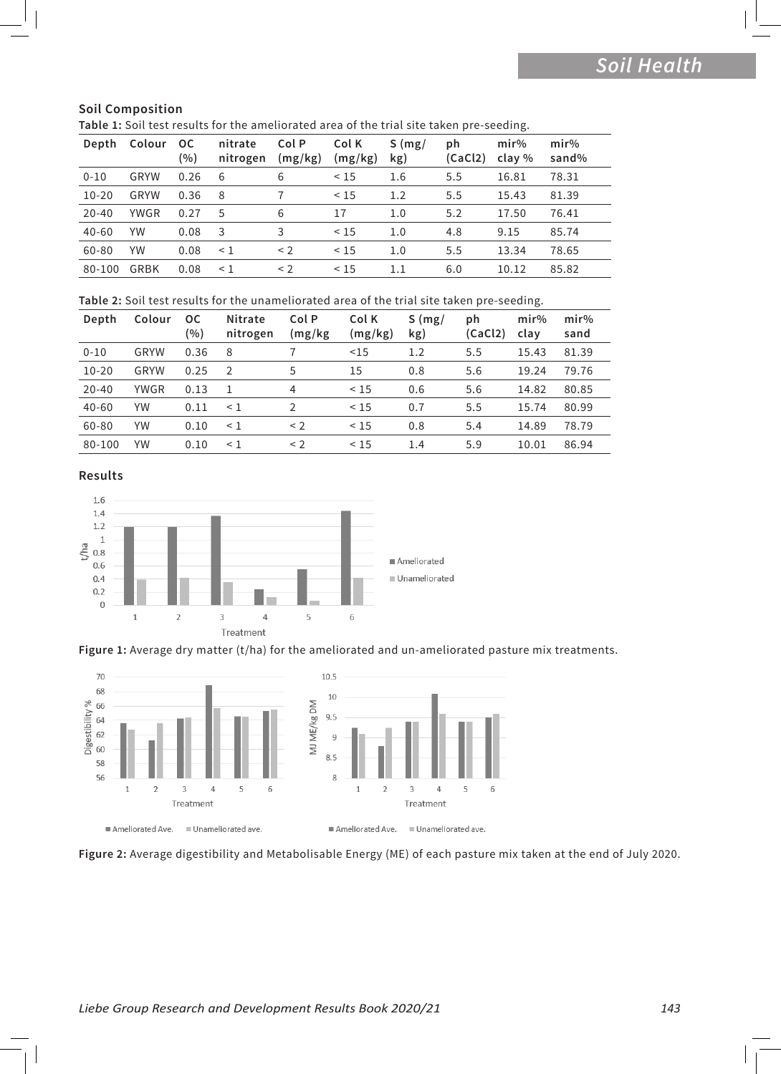# **Soil Composition**

| Table 1: Soil test results for the ameliorated area of the trial site taken pre-seeding. |  |  |  |
|------------------------------------------------------------------------------------------|--|--|--|
|------------------------------------------------------------------------------------------|--|--|--|

| Depth     | Colour      | <b>OC</b><br>(%) | nitrate<br>nitrogen | Col P<br>(mg/kg) | Col K<br>(mg/kg) | S(mg)<br>kg) | ph<br>(CaCl2) | mir%<br>clay % | mir%<br>sand% |
|-----------|-------------|------------------|---------------------|------------------|------------------|--------------|---------------|----------------|---------------|
| $0 - 10$  | <b>GRYW</b> | 0.26             | 6                   | 6                | < 15             | 1.6          | 5.5           | 16.81          | 78.31         |
| $10 - 20$ | GRYW        | 0.36             | 8                   |                  | < 15             | 1.2          | 5.5           | 15.43          | 81.39         |
| $20 - 40$ | <b>YWGR</b> | 0.27             | 5                   | 6                | 17               | 1.0          | 5.2           | 17.50          | 76.41         |
| $40 - 60$ | YW          | 0.08             | 3                   | 3                | < 15             | 1.0          | 4.8           | 9.15           | 85.74         |
| 60-80     | YW          | 0.08             | $\leq$ 1            | $\leq$ 2         | < 15             | 1.0          | 5.5           | 13.34          | 78.65         |
| 80-100    | GRBK        | 0.08             | $\leq$ 1            | $\leq$ 2         | < 15             | $1.1\,$      | 6.0           | 10.12          | 85.82         |

**Table 2:** Soil test results for the unameliorated area of the trial site taken pre-seeding.

| Depth     | Colour      | <b>OC</b><br>(%) | Nitrate<br>nitrogen | Col P<br>(mg/kg) | Col K<br>(mg/kg) | S(mg)<br>kg) | ph<br>(CaCl2) | mir%<br>clay | mir%<br>sand |
|-----------|-------------|------------------|---------------------|------------------|------------------|--------------|---------------|--------------|--------------|
| $0 - 10$  | GRYW        | 0.36             | 8                   |                  | <15              | 1.2          | 5.5           | 15.43        | 81.39        |
| $10 - 20$ | GRYW        | 0.25             | $\mathcal{P}$       | 5                | 15               | 0.8          | 5.6           | 19.24        | 79.76        |
| $20 - 40$ | <b>YWGR</b> | 0.13             |                     | 4                | < 15             | 0.6          | 5.6           | 14.82        | 80.85        |
| $40 - 60$ | YW          | 0.11             | $\leq$ 1            | V                | < 15             | 0.7          | 5.5           | 15.74        | 80.99        |
| 60-80     | YW          | 0.10             | $\leq 1$            | $<$ 2            | < 15             | 0.8          | 5.4           | 14.89        | 78.79        |
| 80-100    | YW          | 0.10             | $\leq 1$            | $\leq$ 2         | < 15             | 1.4          | 5.9           | 10.01        | 86.94        |

**Results**







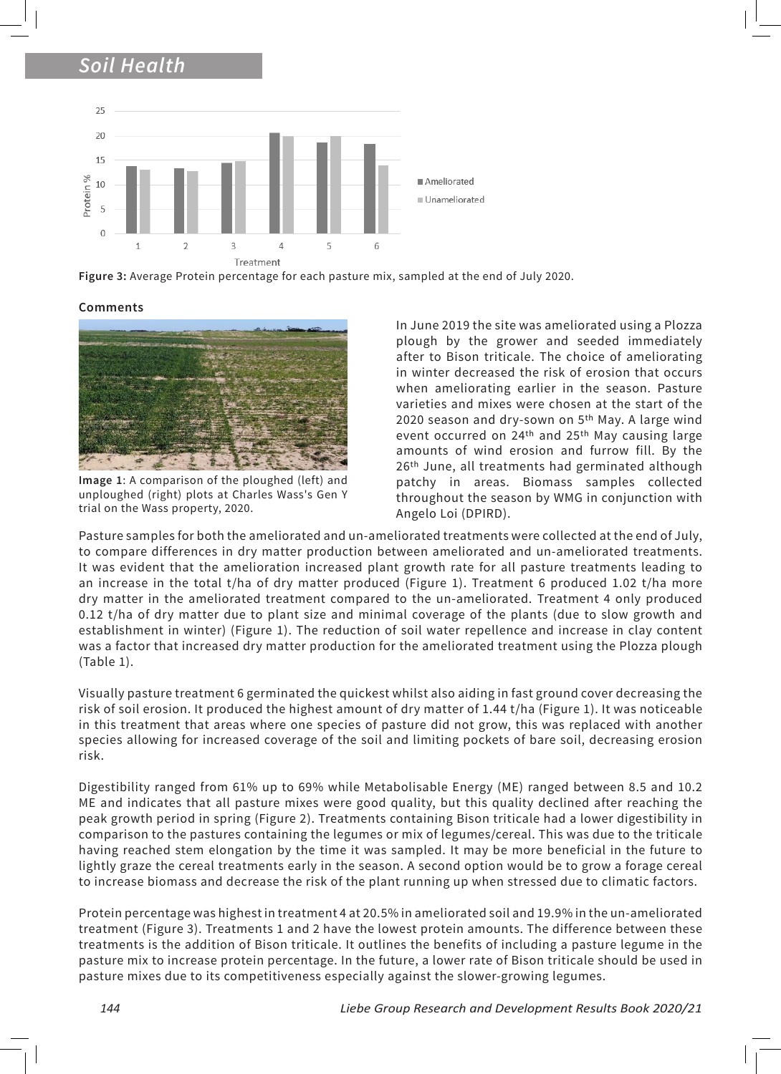# *Soil Health*



**Figure 3:** Average Protein percentage for each pasture mix, sampled at the end of July 2020.

### **Comments**



**Image 1**: A comparison of the ploughed (left) and unploughed (right) plots at Charles Wass's Gen Y trial on the Wass property, 2020.

In June 2019 the site was ameliorated using a Plozza plough by the grower and seeded immediately after to Bison triticale. The choice of ameliorating in winter decreased the risk of erosion that occurs when ameliorating earlier in the season. Pasture varieties and mixes were chosen at the start of the 2020 season and dry-sown on 5<sup>th</sup> May. A large wind event occurred on 24<sup>th</sup> and 25<sup>th</sup> May causing large amounts of wind erosion and furrow fill. By the 26<sup>th</sup> June, all treatments had germinated although patchy in areas. Biomass samples collected throughout the season by WMG in conjunction with Angelo Loi (DPIRD).

Pasture samples for both the ameliorated and un-ameliorated treatments were collected at the end of July, to compare differences in dry matter production between ameliorated and un-ameliorated treatments. It was evident that the amelioration increased plant growth rate for all pasture treatments leading to an increase in the total t/ha of dry matter produced (Figure 1). Treatment 6 produced 1.02 t/ha more dry matter in the ameliorated treatment compared to the un-ameliorated. Treatment 4 only produced 0.12 t/ha of dry matter due to plant size and minimal coverage of the plants (due to slow growth and establishment in winter) (Figure 1). The reduction of soil water repellence and increase in clay content was a factor that increased dry matter production for the ameliorated treatment using the Plozza plough (Table 1).

Visually pasture treatment 6 germinated the quickest whilst also aiding in fast ground cover decreasing the risk of soil erosion. It produced the highest amount of dry matter of 1.44 t/ha (Figure 1). It was noticeable in this treatment that areas where one species of pasture did not grow, this was replaced with another species allowing for increased coverage of the soil and limiting pockets of bare soil, decreasing erosion risk.

Digestibility ranged from 61% up to 69% while Metabolisable Energy (ME) ranged between 8.5 and 10.2 ME and indicates that all pasture mixes were good quality, but this quality declined after reaching the peak growth period in spring (Figure 2). Treatments containing Bison triticale had a lower digestibility in comparison to the pastures containing the legumes or mix of legumes/cereal. This was due to the triticale having reached stem elongation by the time it was sampled. It may be more beneficial in the future to lightly graze the cereal treatments early in the season. A second option would be to grow a forage cereal to increase biomass and decrease the risk of the plant running up when stressed due to climatic factors.

Protein percentage was highest in treatment 4 at 20.5% in ameliorated soil and 19.9% in the un-ameliorated treatment (Figure 3). Treatments 1 and 2 have the lowest protein amounts. The difference between these treatments is the addition of Bison triticale. It outlines the benefits of including a pasture legume in the pasture mix to increase protein percentage. In the future, a lower rate of Bison triticale should be used in pasture mixes due to its competitiveness especially against the slower-growing legumes.